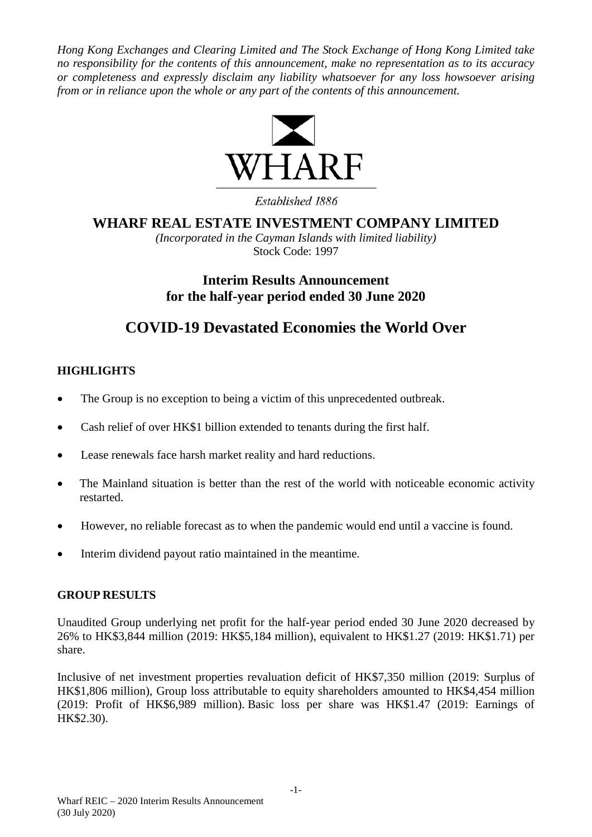*Hong Kong Exchanges and Clearing Limited and The Stock Exchange of Hong Kong Limited take no responsibility for the contents of this announcement, make no representation as to its accuracy or completeness and expressly disclaim any liability whatsoever for any loss howsoever arising from or in reliance upon the whole or any part of the contents of this announcement.*



Established 1886

# **WHARF REAL ESTATE INVESTMENT COMPANY LIMITED**

*(Incorporated in the Cayman Islands with limited liability)* Stock Code: 1997

# **Interim Results Announcement for the half-year period ended 30 June 2020**

# **COVID-19 Devastated Economies the World Over**

## **HIGHLIGHTS**

- The Group is no exception to being a victim of this unprecedented outbreak.
- Cash relief of over HK\$1 billion extended to tenants during the first half.
- Lease renewals face harsh market reality and hard reductions.
- The Mainland situation is better than the rest of the world with noticeable economic activity restarted.
- However, no reliable forecast as to when the pandemic would end until a vaccine is found.
- Interim dividend payout ratio maintained in the meantime.

## **GROUP RESULTS**

Unaudited Group underlying net profit for the half-year period ended 30 June 2020 decreased by 26% to HK\$3,844 million (2019: HK\$5,184 million), equivalent to HK\$1.27 (2019: HK\$1.71) per share.

Inclusive of net investment properties revaluation deficit of HK\$7,350 million (2019: Surplus of HK\$1,806 million), Group loss attributable to equity shareholders amounted to HK\$4,454 million (2019: Profit of HK\$6,989 million). Basic loss per share was HK\$1.47 (2019: Earnings of HK\$2.30).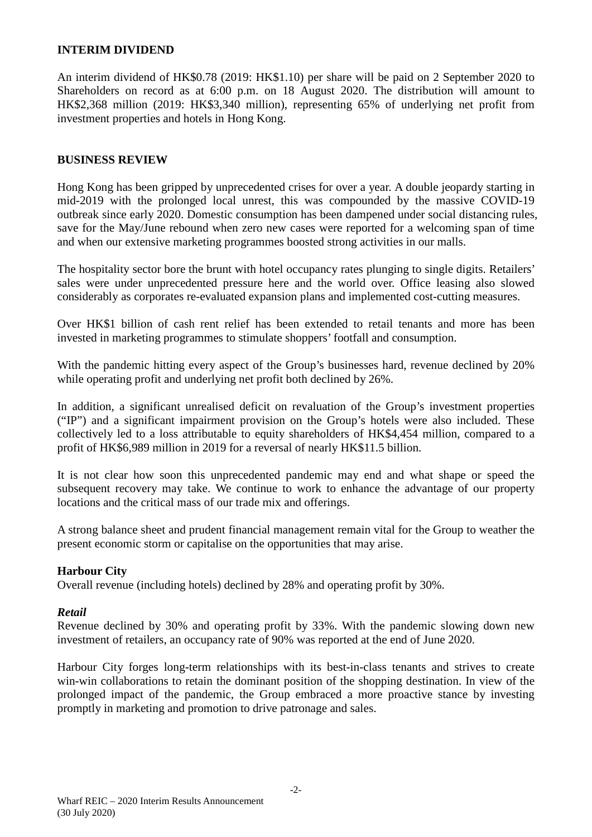#### **INTERIM DIVIDEND**

An interim dividend of HK\$0.78 (2019: HK\$1.10) per share will be paid on 2 September 2020 to Shareholders on record as at 6:00 p.m. on 18 August 2020. The distribution will amount to HK\$2,368 million (2019: HK\$3,340 million), representing 65% of underlying net profit from investment properties and hotels in Hong Kong.

#### **BUSINESS REVIEW**

Hong Kong has been gripped by unprecedented crises for over a year. A double jeopardy starting in mid-2019 with the prolonged local unrest, this was compounded by the massive COVID-19 outbreak since early 2020. Domestic consumption has been dampened under social distancing rules, save for the May/June rebound when zero new cases were reported for a welcoming span of time and when our extensive marketing programmes boosted strong activities in our malls.

The hospitality sector bore the brunt with hotel occupancy rates plunging to single digits. Retailers' sales were under unprecedented pressure here and the world over. Office leasing also slowed considerably as corporates re-evaluated expansion plans and implemented cost-cutting measures.

Over HK\$1 billion of cash rent relief has been extended to retail tenants and more has been invested in marketing programmes to stimulate shoppers' footfall and consumption.

With the pandemic hitting every aspect of the Group's businesses hard, revenue declined by 20% while operating profit and underlying net profit both declined by 26%.

In addition, a significant unrealised deficit on revaluation of the Group's investment properties ("IP") and a significant impairment provision on the Group's hotels were also included. These collectively led to a loss attributable to equity shareholders of HK\$4,454 million, compared to a profit of HK\$6,989 million in 2019 for a reversal of nearly HK\$11.5 billion.

It is not clear how soon this unprecedented pandemic may end and what shape or speed the subsequent recovery may take. We continue to work to enhance the advantage of our property locations and the critical mass of our trade mix and offerings.

A strong balance sheet and prudent financial management remain vital for the Group to weather the present economic storm or capitalise on the opportunities that may arise.

## **Harbour City**

Overall revenue (including hotels) declined by 28% and operating profit by 30%.

#### *Retail*

Revenue declined by 30% and operating profit by 33%. With the pandemic slowing down new investment of retailers, an occupancy rate of 90% was reported at the end of June 2020.

Harbour City forges long-term relationships with its best-in-class tenants and strives to create win-win collaborations to retain the dominant position of the shopping destination. In view of the prolonged impact of the pandemic, the Group embraced a more proactive stance by investing promptly in marketing and promotion to drive patronage and sales.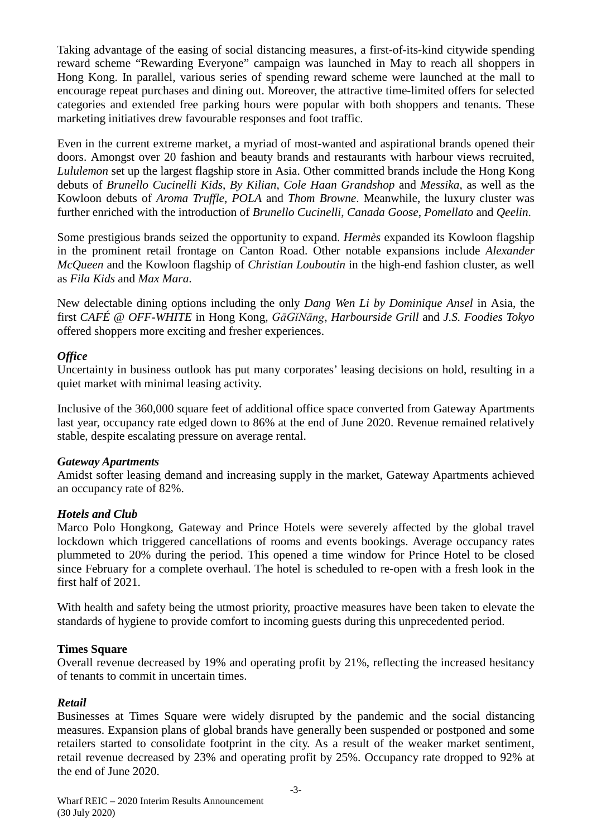Taking advantage of the easing of social distancing measures, a first-of-its-kind citywide spending reward scheme "Rewarding Everyone" campaign was launched in May to reach all shoppers in Hong Kong. In parallel, various series of spending reward scheme were launched at the mall to encourage repeat purchases and dining out. Moreover, the attractive time-limited offers for selected categories and extended free parking hours were popular with both shoppers and tenants. These marketing initiatives drew favourable responses and foot traffic.

Even in the current extreme market, a myriad of most-wanted and aspirational brands opened their doors. Amongst over 20 fashion and beauty brands and restaurants with harbour views recruited, *Lululemon* set up the largest flagship store in Asia. Other committed brands include the Hong Kong debuts of *Brunello Cucinelli Kids*, *By Kilian*, *Cole Haan Grandshop* and *Messika*, as well as the Kowloon debuts of *Aroma Truffle*, *POLA* and *Thom Browne*. Meanwhile, the luxury cluster was further enriched with the introduction of *Brunello Cucinelli*, *Canada Goose*, *Pomellato* and *Qeelin*.

Some prestigious brands seized the opportunity to expand. *Hermès* expanded its Kowloon flagship in the prominent retail frontage on Canton Road. Other notable expansions include *Alexander McQueen* and the Kowloon flagship of *Christian Louboutin* in the high-end fashion cluster, as well as *Fila Kids* and *Max Mara*.

New delectable dining options including the only *Dang Wen Li by Dominique Ansel* in Asia, the first *CAFÉ @ OFF-WHITE* in Hong Kong, *GāGǐNāng*, *Harbourside Grill* and *J.S. Foodies Tokyo* offered shoppers more exciting and fresher experiences.

## *Office*

Uncertainty in business outlook has put many corporates' leasing decisions on hold, resulting in a quiet market with minimal leasing activity.

Inclusive of the 360,000 square feet of additional office space converted from Gateway Apartments last year, occupancy rate edged down to 86% at the end of June 2020. Revenue remained relatively stable, despite escalating pressure on average rental.

#### *Gateway Apartments*

Amidst softer leasing demand and increasing supply in the market, Gateway Apartments achieved an occupancy rate of 82%.

## *Hotels and Club*

Marco Polo Hongkong, Gateway and Prince Hotels were severely affected by the global travel lockdown which triggered cancellations of rooms and events bookings. Average occupancy rates plummeted to 20% during the period. This opened a time window for Prince Hotel to be closed since February for a complete overhaul. The hotel is scheduled to re-open with a fresh look in the first half of 2021.

With health and safety being the utmost priority, proactive measures have been taken to elevate the standards of hygiene to provide comfort to incoming guests during this unprecedented period.

#### **Times Square**

Overall revenue decreased by 19% and operating profit by 21%, reflecting the increased hesitancy of tenants to commit in uncertain times.

#### *Retail*

Businesses at Times Square were widely disrupted by the pandemic and the social distancing measures. Expansion plans of global brands have generally been suspended or postponed and some retailers started to consolidate footprint in the city. As a result of the weaker market sentiment, retail revenue decreased by 23% and operating profit by 25%. Occupancy rate dropped to 92% at the end of June 2020.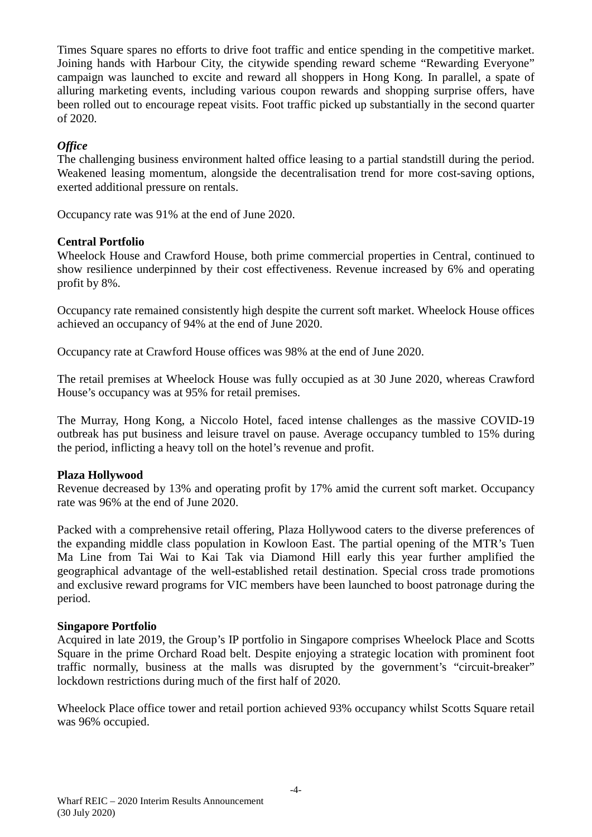Times Square spares no efforts to drive foot traffic and entice spending in the competitive market. Joining hands with Harbour City, the citywide spending reward scheme "Rewarding Everyone" campaign was launched to excite and reward all shoppers in Hong Kong. In parallel, a spate of alluring marketing events, including various coupon rewards and shopping surprise offers, have been rolled out to encourage repeat visits. Foot traffic picked up substantially in the second quarter of 2020.

## *Office*

The challenging business environment halted office leasing to a partial standstill during the period. Weakened leasing momentum, alongside the decentralisation trend for more cost-saving options, exerted additional pressure on rentals.

Occupancy rate was 91% at the end of June 2020.

### **Central Portfolio**

Wheelock House and Crawford House, both prime commercial properties in Central, continued to show resilience underpinned by their cost effectiveness. Revenue increased by 6% and operating profit by 8%.

Occupancy rate remained consistently high despite the current soft market. Wheelock House offices achieved an occupancy of 94% at the end of June 2020.

Occupancy rate at Crawford House offices was 98% at the end of June 2020.

The retail premises at Wheelock House was fully occupied as at 30 June 2020, whereas Crawford House's occupancy was at 95% for retail premises.

The Murray, Hong Kong, a Niccolo Hotel, faced intense challenges as the massive COVID-19 outbreak has put business and leisure travel on pause. Average occupancy tumbled to 15% during the period, inflicting a heavy toll on the hotel's revenue and profit.

#### **Plaza Hollywood**

Revenue decreased by 13% and operating profit by 17% amid the current soft market. Occupancy rate was 96% at the end of June 2020.

Packed with a comprehensive retail offering, Plaza Hollywood caters to the diverse preferences of the expanding middle class population in Kowloon East. The partial opening of the MTR's Tuen Ma Line from Tai Wai to Kai Tak via Diamond Hill early this year further amplified the geographical advantage of the well-established retail destination. Special cross trade promotions and exclusive reward programs for VIC members have been launched to boost patronage during the period.

#### **Singapore Portfolio**

Acquired in late 2019, the Group's IP portfolio in Singapore comprises Wheelock Place and Scotts Square in the prime Orchard Road belt. Despite enjoying a strategic location with prominent foot traffic normally, business at the malls was disrupted by the government's "circuit-breaker" lockdown restrictions during much of the first half of 2020.

Wheelock Place office tower and retail portion achieved 93% occupancy whilst Scotts Square retail was 96% occupied.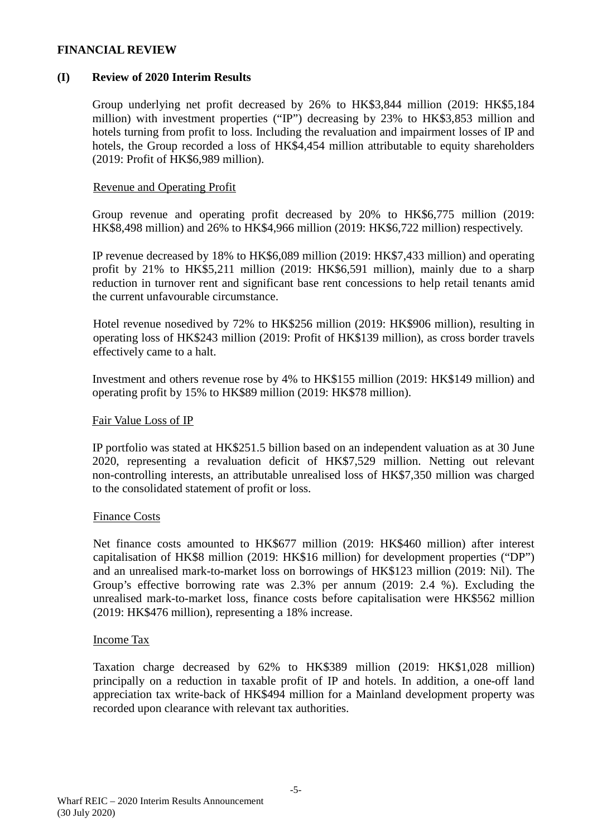#### **FINANCIAL REVIEW**

#### **(I) Review of 2020 Interim Results**

Group underlying net profit decreased by 26% to HK\$3,844 million (2019: HK\$5,184 million) with investment properties ("IP") decreasing by 23% to HK\$3,853 million and hotels turning from profit to loss. Including the revaluation and impairment losses of IP and hotels, the Group recorded a loss of HK\$4,454 million attributable to equity shareholders (2019: Profit of HK\$6,989 million).

#### Revenue and Operating Profit

Group revenue and operating profit decreased by 20% to HK\$6,775 million (2019: HK\$8,498 million) and 26% to HK\$4,966 million (2019: HK\$6,722 million) respectively.

IP revenue decreased by 18% to HK\$6,089 million (2019: HK\$7,433 million) and operating profit by 21% to HK\$5,211 million (2019: HK\$6,591 million), mainly due to a sharp reduction in turnover rent and significant base rent concessions to help retail tenants amid the current unfavourable circumstance.

Hotel revenue nosedived by 72% to HK\$256 million (2019: HK\$906 million), resulting in operating loss of HK\$243 million (2019: Profit of HK\$139 million), as cross border travels effectively came to a halt.

Investment and others revenue rose by 4% to HK\$155 million (2019: HK\$149 million) and operating profit by 15% to HK\$89 million (2019: HK\$78 million).

#### Fair Value Loss of IP

IP portfolio was stated at HK\$251.5 billion based on an independent valuation as at 30 June 2020, representing a revaluation deficit of HK\$7,529 million. Netting out relevant non-controlling interests, an attributable unrealised loss of HK\$7,350 million was charged to the consolidated statement of profit or loss.

#### Finance Costs

Net finance costs amounted to HK\$677 million (2019: HK\$460 million) after interest capitalisation of HK\$8 million (2019: HK\$16 million) for development properties ("DP") and an unrealised mark-to-market loss on borrowings of HK\$123 million (2019: Nil). The Group's effective borrowing rate was 2.3% per annum (2019: 2.4 %). Excluding the unrealised mark-to-market loss, finance costs before capitalisation were HK\$562 million (2019: HK\$476 million), representing a 18% increase.

#### Income Tax

Taxation charge decreased by 62% to HK\$389 million (2019: HK\$1,028 million) principally on a reduction in taxable profit of IP and hotels. In addition, a one-off land appreciation tax write-back of HK\$494 million for a Mainland development property was recorded upon clearance with relevant tax authorities.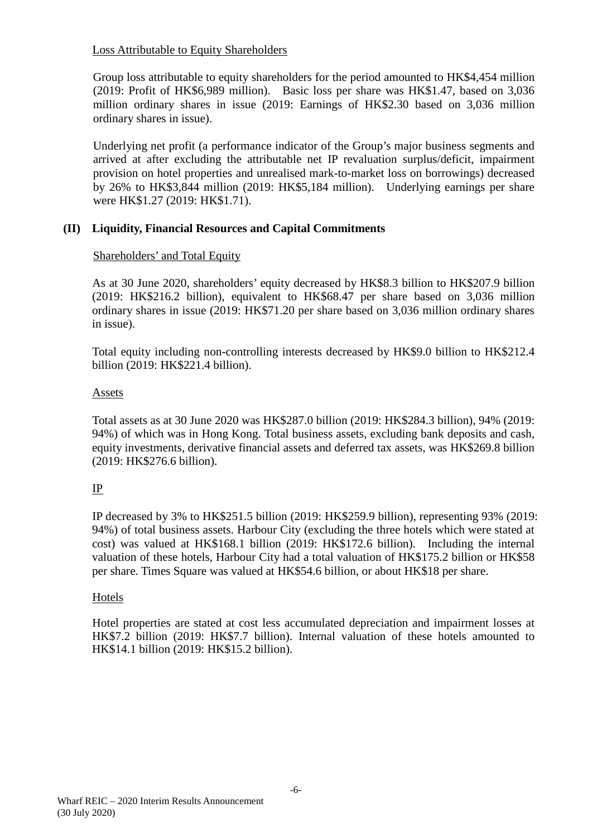Loss Attributable to Equity Shareholders

Group loss attributable to equity shareholders for the period amounted to HK\$4,454 million (2019: Profit of HK\$6,989 million). Basic loss per share was HK\$1.47, based on 3,036 million ordinary shares in issue (2019: Earnings of HK\$2.30 based on 3,036 million ordinary shares in issue).

Underlying net profit (a performance indicator of the Group's major business segments and arrived at after excluding the attributable net IP revaluation surplus/deficit, impairment provision on hotel properties and unrealised mark-to-market loss on borrowings) decreased by 26% to HK\$3,844 million (2019: HK\$5,184 million). Underlying earnings per share were HK\$1.27 (2019: HK\$1.71).

## **(II) Liquidity, Financial Resources and Capital Commitments**

### Shareholders' and Total Equity

As at 30 June 2020, shareholders' equity decreased by HK\$8.3 billion to HK\$207.9 billion (2019: HK\$216.2 billion), equivalent to HK\$68.47 per share based on 3,036 million ordinary shares in issue (2019: HK\$71.20 per share based on 3,036 million ordinary shares in issue).

Total equity including non-controlling interests decreased by HK\$9.0 billion to HK\$212.4 billion (2019: HK\$221.4 billion).

#### Assets

Total assets as at 30 June 2020 was HK\$287.0 billion (2019: HK\$284.3 billion), 94% (2019: 94%) of which was in Hong Kong. Total business assets, excluding bank deposits and cash, equity investments, derivative financial assets and deferred tax assets, was HK\$269.8 billion (2019: HK\$276.6 billion).

# IP

IP decreased by 3% to HK\$251.5 billion (2019: HK\$259.9 billion), representing 93% (2019: 94%) of total business assets. Harbour City (excluding the three hotels which were stated at cost) was valued at HK\$168.1 billion (2019: HK\$172.6 billion). Including the internal valuation of these hotels, Harbour City had a total valuation of HK\$175.2 billion or HK\$58 per share. Times Square was valued at HK\$54.6 billion, or about HK\$18 per share.

#### Hotels

Hotel properties are stated at cost less accumulated depreciation and impairment losses at HK\$7.2 billion (2019: HK\$7.7 billion). Internal valuation of these hotels amounted to HK\$14.1 billion (2019: HK\$15.2 billion).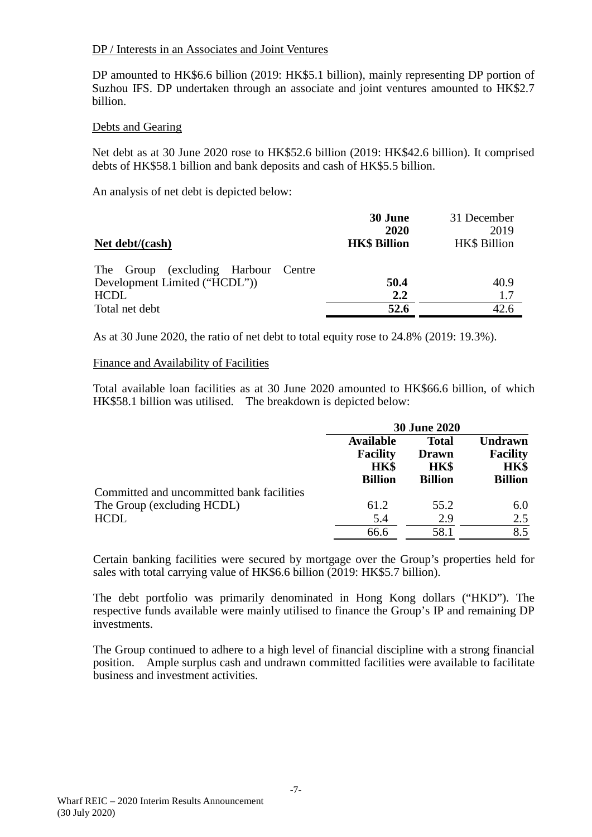#### DP / Interests in an Associates and Joint Ventures

DP amounted to HK\$6.6 billion (2019: HK\$5.1 billion), mainly representing DP portion of Suzhou IFS. DP undertaken through an associate and joint ventures amounted to HK\$2.7 billion.

### Debts and Gearing

Net debt as at 30 June 2020 rose to HK\$52.6 billion (2019: HK\$42.6 billion). It comprised debts of HK\$58.1 billion and bank deposits and cash of HK\$5.5 billion.

An analysis of net debt is depicted below:

|                                     | 30 June<br>2020     | 31 December<br>2019 |
|-------------------------------------|---------------------|---------------------|
| Net $debt/(cash)$                   | <b>HK\$ Billion</b> | HK\$ Billion        |
| The Group (excluding Harbour Centre |                     |                     |
| Development Limited ("HCDL"))       | 50.4                | 40.9                |
| HCDL                                | 2,2                 | 1.7                 |
| Total net debt                      | 52.6                | 42.6                |

As at 30 June 2020, the ratio of net debt to total equity rose to 24.8% (2019: 19.3%).

### Finance and Availability of Facilities

Total available loan facilities as at 30 June 2020 amounted to HK\$66.6 billion, of which HK\$58.1 billion was utilised. The breakdown is depicted below:

|                                           | <b>30 June 2020</b>                                           |                                                 |                                                             |
|-------------------------------------------|---------------------------------------------------------------|-------------------------------------------------|-------------------------------------------------------------|
|                                           | <b>Available</b><br><b>Facility</b><br>HK\$<br><b>Billion</b> | <b>Total</b><br>Drawn<br>HK\$<br><b>Billion</b> | <b>Undrawn</b><br><b>Facility</b><br>HK\$<br><b>Billion</b> |
| Committed and uncommitted bank facilities |                                                               |                                                 |                                                             |
| The Group (excluding HCDL)                | 61.2                                                          | 55.2                                            | 6.0                                                         |
| <b>HCDL</b>                               | 5.4                                                           | 2.9                                             | 2.5                                                         |
|                                           | 66.6                                                          | 58.1                                            | 8.5                                                         |

Certain banking facilities were secured by mortgage over the Group's properties held for sales with total carrying value of HK\$6.6 billion (2019: HK\$5.7 billion).

The debt portfolio was primarily denominated in Hong Kong dollars ("HKD"). The respective funds available were mainly utilised to finance the Group's IP and remaining DP investments.

The Group continued to adhere to a high level of financial discipline with a strong financial position. Ample surplus cash and undrawn committed facilities were available to facilitate business and investment activities.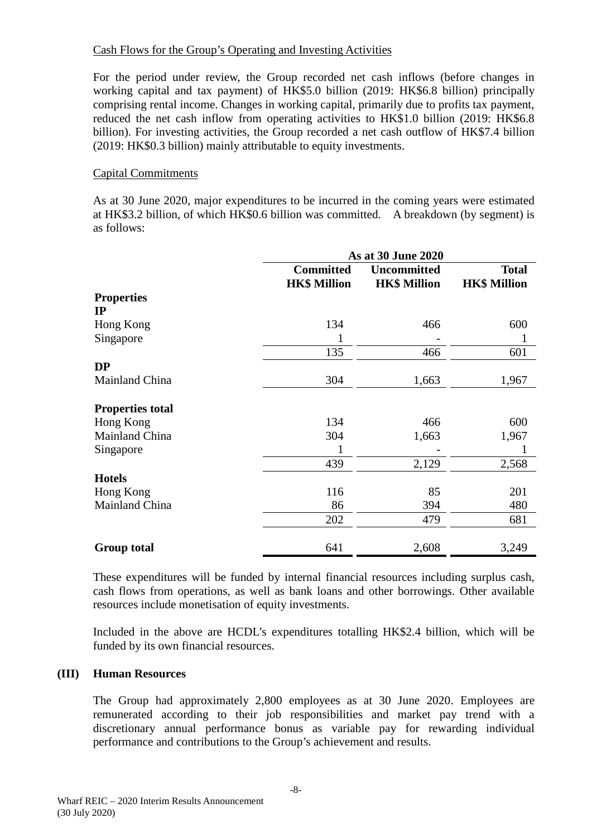## Cash Flows for the Group's Operating and Investing Activities

For the period under review, the Group recorded net cash inflows (before changes in working capital and tax payment) of HK\$5.0 billion (2019: HK\$6.8 billion) principally comprising rental income. Changes in working capital, primarily due to profits tax payment, reduced the net cash inflow from operating activities to HK\$1.0 billion (2019: HK\$6.8 billion). For investing activities, the Group recorded a net cash outflow of HK\$7.4 billion (2019: HK\$0.3 billion) mainly attributable to equity investments.

# Capital Commitments

As at 30 June 2020, major expenditures to be incurred in the coming years were estimated at HK\$3.2 billion, of which HK\$0.6 billion was committed. A breakdown (by segment) is as follows:

|                                  | <b>As at 30 June 2020</b>               |                                           |                                     |  |  |
|----------------------------------|-----------------------------------------|-------------------------------------------|-------------------------------------|--|--|
|                                  | <b>Committed</b><br><b>HK\$ Million</b> | <b>Uncommitted</b><br><b>HK\$ Million</b> | <b>Total</b><br><b>HK\$ Million</b> |  |  |
| <b>Properties</b><br>$_{\rm IP}$ |                                         |                                           |                                     |  |  |
| Hong Kong                        | 134                                     | 466                                       | 600                                 |  |  |
| Singapore                        |                                         |                                           |                                     |  |  |
|                                  | 135                                     | 466                                       | 601                                 |  |  |
| <b>DP</b>                        |                                         |                                           |                                     |  |  |
| Mainland China                   | 304                                     | 1,663                                     | 1,967                               |  |  |
| <b>Properties total</b>          |                                         |                                           |                                     |  |  |
| Hong Kong                        | 134                                     | 466                                       | 600                                 |  |  |
| Mainland China                   | 304                                     | 1,663                                     | 1,967                               |  |  |
| Singapore                        |                                         |                                           |                                     |  |  |
|                                  | 439                                     | 2,129                                     | 2,568                               |  |  |
| <b>Hotels</b>                    |                                         |                                           |                                     |  |  |
| Hong Kong                        | 116                                     | 85                                        | 201                                 |  |  |
| Mainland China                   | 86                                      | 394                                       | 480                                 |  |  |
|                                  | 202                                     | 479                                       | 681                                 |  |  |
| <b>Group total</b>               | 641                                     | 2,608                                     | 3,249                               |  |  |

These expenditures will be funded by internal financial resources including surplus cash, cash flows from operations, as well as bank loans and other borrowings. Other available resources include monetisation of equity investments.

Included in the above are HCDL's expenditures totalling HK\$2.4 billion, which will be funded by its own financial resources.

## **(III) Human Resources**

The Group had approximately 2,800 employees as at 30 June 2020. Employees are remunerated according to their job responsibilities and market pay trend with a discretionary annual performance bonus as variable pay for rewarding individual performance and contributions to the Group's achievement and results.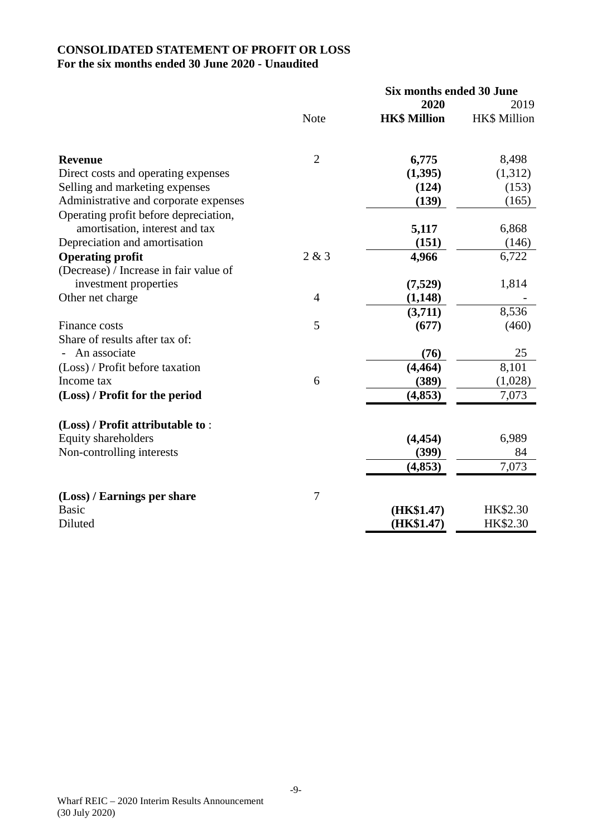# **CONSOLIDATED STATEMENT OF PROFIT OR LOSS For the six months ended 30 June 2020 - Unaudited**

|                                                                         | Six months ended 30 June |                     |                     |
|-------------------------------------------------------------------------|--------------------------|---------------------|---------------------|
|                                                                         |                          | 2020                | 2019                |
|                                                                         | <b>Note</b>              | <b>HK\$ Million</b> | <b>HK\$ Million</b> |
| <b>Revenue</b>                                                          | $\overline{2}$           | 6,775               | 8,498               |
| Direct costs and operating expenses                                     |                          | (1,395)             | (1,312)             |
| Selling and marketing expenses                                          |                          | (124)               | (153)               |
| Administrative and corporate expenses                                   |                          | (139)               | (165)               |
| Operating profit before depreciation,<br>amortisation, interest and tax |                          | 5,117               | 6,868               |
| Depreciation and amortisation                                           |                          | (151)               | (146)               |
| <b>Operating profit</b>                                                 | 2 & 3                    | 4,966               | 6,722               |
| (Decrease) / Increase in fair value of                                  |                          |                     |                     |
| investment properties                                                   |                          | (7,529)             | 1,814               |
| Other net charge                                                        | $\overline{4}$           | (1,148)             |                     |
|                                                                         |                          | (3,711)             | 8,536               |
| Finance costs                                                           | 5                        | (677)               | (460)               |
| Share of results after tax of:                                          |                          |                     |                     |
| An associate                                                            |                          | (76)                | 25                  |
| (Loss) / Profit before taxation                                         |                          | (4, 464)            | 8,101               |
| Income tax                                                              | 6                        | (389)               | (1,028)             |
| (Loss) / Profit for the period                                          |                          | (4, 853)            | 7,073               |
| (Loss) / Profit attributable to:                                        |                          |                     |                     |
| Equity shareholders                                                     |                          | (4, 454)            | 6,989               |
| Non-controlling interests                                               |                          | (399)               | 84                  |
|                                                                         |                          | (4, 853)            | 7,073               |
| (Loss) / Earnings per share                                             | $\tau$                   |                     |                     |
| <b>Basic</b>                                                            |                          | (HK\$1.47)          | HK\$2.30            |
| Diluted                                                                 |                          | (HK\$1.47)          | HK\$2.30            |
|                                                                         |                          |                     |                     |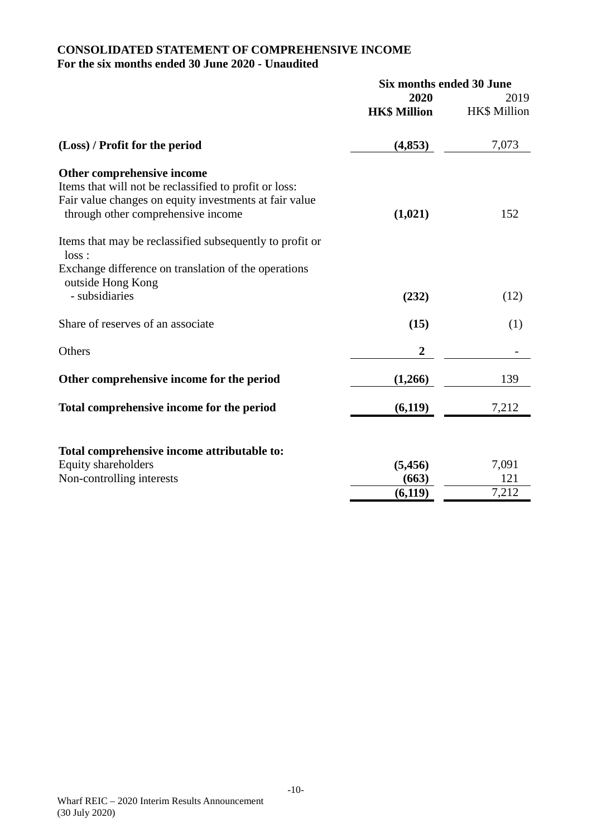# **CONSOLIDATED STATEMENT OF COMPREHENSIVE INCOME For the six months ended 30 June 2020 - Unaudited**

|                                                                                                                                                                                      | Six months ended 30 June |                     |
|--------------------------------------------------------------------------------------------------------------------------------------------------------------------------------------|--------------------------|---------------------|
|                                                                                                                                                                                      | 2020                     | 2019                |
|                                                                                                                                                                                      | <b>HK\$ Million</b>      | <b>HK\$</b> Million |
| (Loss) / Profit for the period                                                                                                                                                       | (4,853)                  | 7,073               |
| Other comprehensive income<br>Items that will not be reclassified to profit or loss:<br>Fair value changes on equity investments at fair value<br>through other comprehensive income | (1,021)                  | 152                 |
| Items that may be reclassified subsequently to profit or<br>loss:                                                                                                                    |                          |                     |
| Exchange difference on translation of the operations                                                                                                                                 |                          |                     |
| outside Hong Kong                                                                                                                                                                    |                          |                     |
| - subsidiaries                                                                                                                                                                       | (232)                    | (12)                |
| Share of reserves of an associate                                                                                                                                                    | (15)                     | (1)                 |
| Others                                                                                                                                                                               | $\boldsymbol{2}$         |                     |
| Other comprehensive income for the period                                                                                                                                            | (1,266)                  | 139                 |
| Total comprehensive income for the period                                                                                                                                            | (6,119)                  | 7,212               |
| Total comprehensive income attributable to:                                                                                                                                          |                          |                     |
| Equity shareholders                                                                                                                                                                  | (5, 456)                 | 7,091               |
| Non-controlling interests                                                                                                                                                            | (663)                    | 121                 |
|                                                                                                                                                                                      | (6, 119)                 | 7,212               |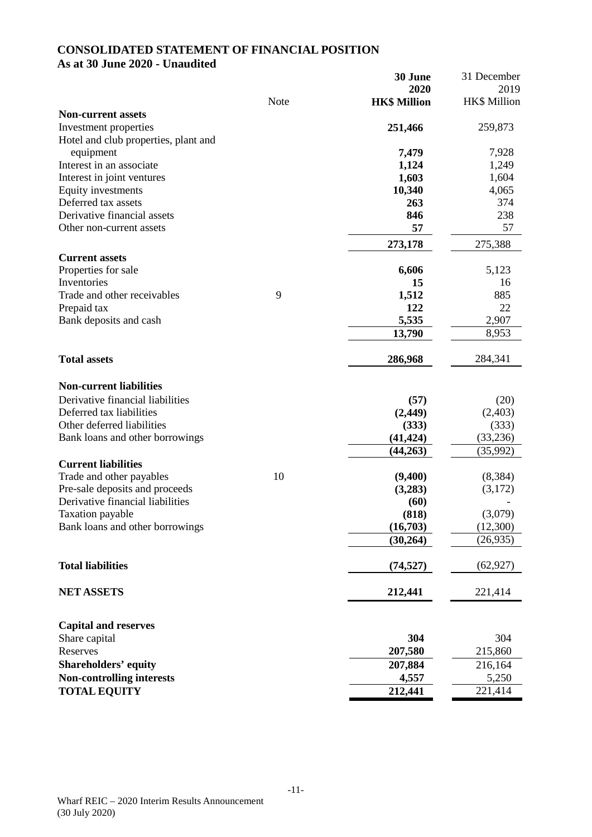## **CONSOLIDATED STATEMENT OF FINANCIAL POSITION As at 30 June 2020 - Unaudited**

|                                              |      | 30 June             | 31 December  |
|----------------------------------------------|------|---------------------|--------------|
|                                              |      | 2020                | 2019         |
|                                              | Note | <b>HK\$ Million</b> | HK\$ Million |
| <b>Non-current assets</b>                    |      |                     |              |
| Investment properties                        |      | 251,466             | 259,873      |
| Hotel and club properties, plant and         |      |                     |              |
| equipment                                    |      | 7,479               | 7,928        |
| Interest in an associate                     |      | 1,124               | 1,249        |
| Interest in joint ventures                   |      | 1,603               | 1,604        |
| Equity investments                           |      | 10,340              | 4,065        |
| Deferred tax assets                          |      | 263                 | 374          |
| Derivative financial assets                  |      | 846                 | 238          |
| Other non-current assets                     |      | 57                  | 57           |
|                                              |      | 273,178             | 275,388      |
| <b>Current assets</b><br>Properties for sale |      | 6,606               | 5,123        |
| Inventories                                  |      | 15                  | 16           |
| Trade and other receivables                  | 9    | 1,512               | 885          |
| Prepaid tax                                  |      | 122                 | 22           |
| Bank deposits and cash                       |      | 5,535               | 2,907        |
|                                              |      | 13,790              | 8,953        |
|                                              |      |                     |              |
| <b>Total assets</b>                          |      | 286,968             | 284,341      |
| <b>Non-current liabilities</b>               |      |                     |              |
| Derivative financial liabilities             |      | (57)                | (20)         |
| Deferred tax liabilities                     |      | (2,449)             | (2,403)      |
| Other deferred liabilities                   |      | (333)               | (333)        |
| Bank loans and other borrowings              |      | (41, 424)           | (33,236)     |
|                                              |      | (44,263)            | (35,992)     |
| <b>Current liabilities</b>                   |      |                     |              |
| Trade and other payables                     | 10   | (9,400)             | (8, 384)     |
| Pre-sale deposits and proceeds               |      | (3,283)             | (3,172)      |
| Derivative financial liabilities             |      | (60)                |              |
| Taxation payable                             |      | (818)               | (3,079)      |
| Bank loans and other borrowings              |      | (16,703)            | (12,300)     |
|                                              |      | (30, 264)           | (26, 935)    |
| <b>Total liabilities</b>                     |      | (74, 527)           | (62, 927)    |
| <b>NET ASSETS</b>                            |      | 212,441             | 221,414      |
|                                              |      |                     |              |
| <b>Capital and reserves</b><br>Share capital |      | 304                 | 304          |
| Reserves                                     |      | 207,580             | 215,860      |
| <b>Shareholders' equity</b>                  |      | 207,884             | 216,164      |
| <b>Non-controlling interests</b>             |      | 4,557               | 5,250        |
|                                              |      | 212,441             |              |
| <b>TOTAL EQUITY</b>                          |      |                     | 221,414      |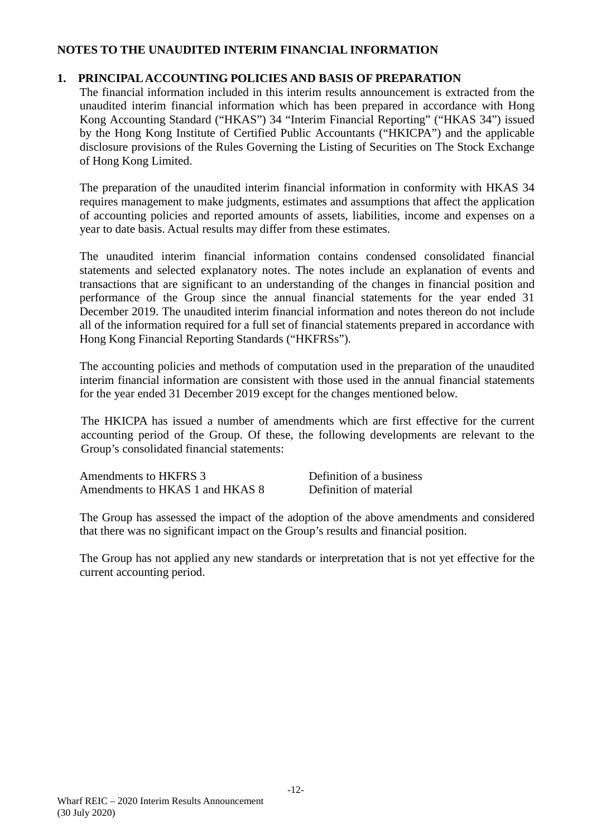## **NOTES TO THE UNAUDITED INTERIM FINANCIAL INFORMATION**

# **1. PRINCIPAL ACCOUNTING POLICIES AND BASIS OF PREPARATION**

The financial information included in this interim results announcement is extracted from the unaudited interim financial information which has been prepared in accordance with Hong Kong Accounting Standard ("HKAS") 34 "Interim Financial Reporting" ("HKAS 34") issued by the Hong Kong Institute of Certified Public Accountants ("HKICPA") and the applicable disclosure provisions of the Rules Governing the Listing of Securities on The Stock Exchange of Hong Kong Limited.

The preparation of the unaudited interim financial information in conformity with HKAS 34 requires management to make judgments, estimates and assumptions that affect the application of accounting policies and reported amounts of assets, liabilities, income and expenses on a year to date basis. Actual results may differ from these estimates.

The unaudited interim financial information contains condensed consolidated financial statements and selected explanatory notes. The notes include an explanation of events and transactions that are significant to an understanding of the changes in financial position and performance of the Group since the annual financial statements for the year ended 31 December 2019. The unaudited interim financial information and notes thereon do not include all of the information required for a full set of financial statements prepared in accordance with Hong Kong Financial Reporting Standards ("HKFRSs").

The accounting policies and methods of computation used in the preparation of the unaudited interim financial information are consistent with those used in the annual financial statements for the year ended 31 December 2019 except for the changes mentioned below.

The HKICPA has issued a number of amendments which are first effective for the current accounting period of the Group. Of these, the following developments are relevant to the Group's consolidated financial statements:

| Amendments to HKFRS 3           | Definition of a business |
|---------------------------------|--------------------------|
| Amendments to HKAS 1 and HKAS 8 | Definition of material   |

The Group has assessed the impact of the adoption of the above amendments and considered that there was no significant impact on the Group's results and financial position.

The Group has not applied any new standards or interpretation that is not yet effective for the current accounting period.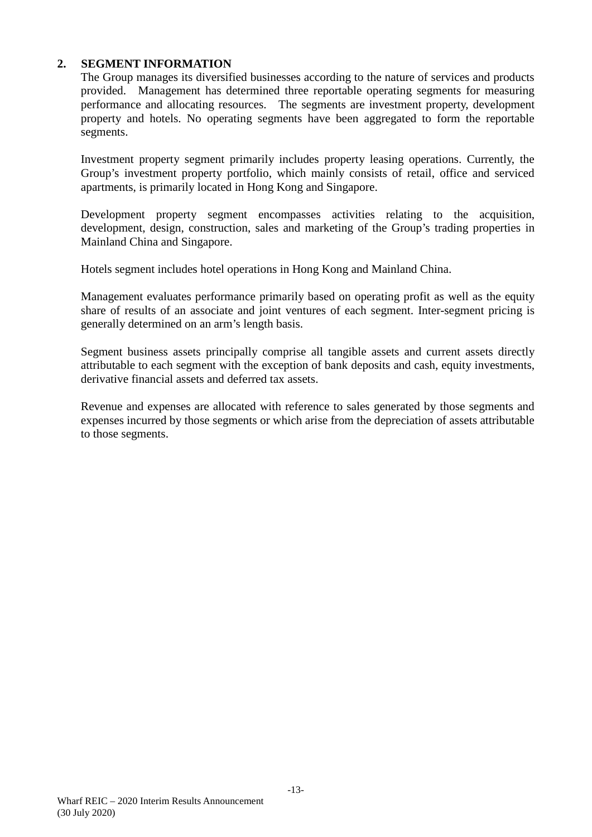### **2. SEGMENT INFORMATION**

The Group manages its diversified businesses according to the nature of services and products provided. Management has determined three reportable operating segments for measuring performance and allocating resources. The segments are investment property, development property and hotels. No operating segments have been aggregated to form the reportable segments.

Investment property segment primarily includes property leasing operations. Currently, the Group's investment property portfolio, which mainly consists of retail, office and serviced apartments, is primarily located in Hong Kong and Singapore.

Development property segment encompasses activities relating to the acquisition. development, design, construction, sales and marketing of the Group's trading properties in Mainland China and Singapore.

Hotels segment includes hotel operations in Hong Kong and Mainland China.

Management evaluates performance primarily based on operating profit as well as the equity share of results of an associate and joint ventures of each segment. Inter-segment pricing is generally determined on an arm's length basis.

Segment business assets principally comprise all tangible assets and current assets directly attributable to each segment with the exception of bank deposits and cash, equity investments, derivative financial assets and deferred tax assets.

Revenue and expenses are allocated with reference to sales generated by those segments and expenses incurred by those segments or which arise from the depreciation of assets attributable to those segments.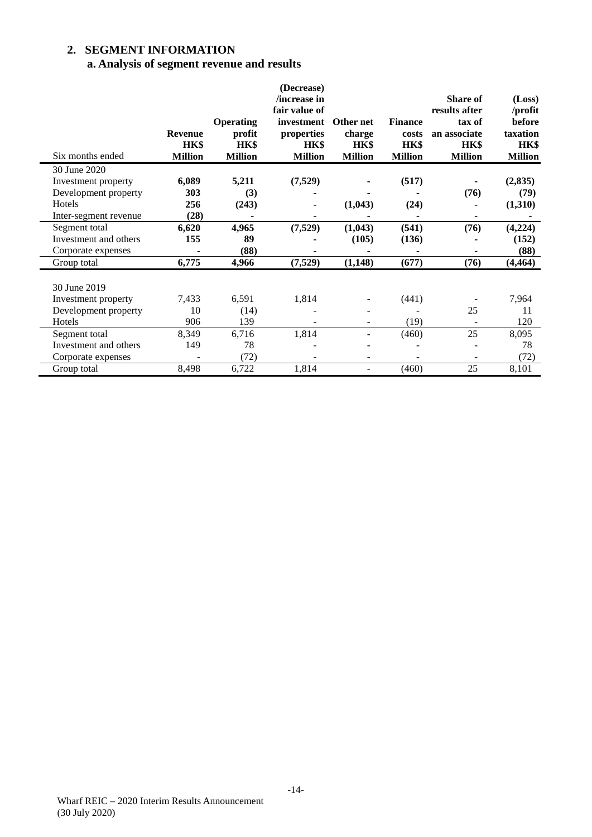# **2. SEGMENT INFORMATION**

# **a. Analysis of segment revenue and results**

|                       |                |                  | (Decrease)     |                |                |                |                |
|-----------------------|----------------|------------------|----------------|----------------|----------------|----------------|----------------|
|                       |                |                  | /increase in   |                |                | Share of       | (Loss)         |
|                       |                |                  | fair value of  |                |                | results after  | /profit        |
|                       |                | <b>Operating</b> | investment     | Other net      | <b>Finance</b> | tax of         | before         |
|                       | <b>Revenue</b> | profit           | properties     | charge         | costs          | an associate   | taxation       |
|                       | HK\$           | HK\$             | HK\$           | HK\$           | HK\$           | HK\$           | HK\$           |
| Six months ended      | <b>Million</b> | <b>Million</b>   | <b>Million</b> | <b>Million</b> | <b>Million</b> | <b>Million</b> | <b>Million</b> |
| 30 June 2020          |                |                  |                |                |                |                |                |
| Investment property   | 6,089          | 5,211            | (7,529)        |                | (517)          |                | (2,835)        |
| Development property  | 303            | (3)              |                |                |                | (76)           | (79)           |
| <b>Hotels</b>         | 256            | (243)            |                | (1,043)        | (24)           |                | (1,310)        |
| Inter-segment revenue | (28)           |                  |                |                |                |                |                |
| Segment total         | 6,620          | 4,965            | (7,529)        | (1,043)        | (541)          | (76)           | (4,224)        |
| Investment and others | 155            | 89               |                | (105)          | (136)          |                | (152)          |
| Corporate expenses    |                | (88)             |                |                |                |                | (88)           |
| Group total           | 6,775          | 4,966            | (7,529)        | (1,148)        | (677)          | (76)           | (4, 464)       |
|                       |                |                  |                |                |                |                |                |
| 30 June 2019          |                |                  |                |                |                |                |                |
| Investment property   | 7,433          | 6,591            | 1,814          |                | (441)          |                | 7,964          |
| Development property  | 10             | (14)             |                |                |                | 25             | 11             |
| Hotels                | 906            | 139              |                | -              | (19)           |                | 120            |
| Segment total         | 8,349          | 6,716            | 1,814          | -              | (460)          | 25             | 8,095          |
| Investment and others | 149            | 78               |                |                |                |                | 78             |
| Corporate expenses    |                | (72)             |                |                |                |                | (72)           |
| Group total           | 8,498          | 6,722            | 1,814          | -              | (460)          | 25             | 8,101          |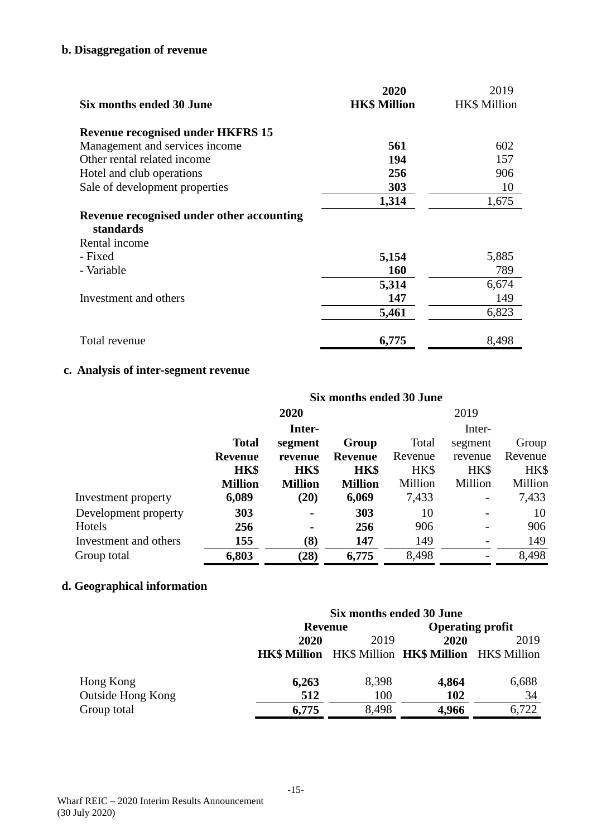# **b. Disaggregation of revenue**

| Six months ended 30 June                  | 2020<br><b>HK\$ Million</b> | 2019<br><b>HK\$</b> Million |
|-------------------------------------------|-----------------------------|-----------------------------|
| <b>Revenue recognised under HKFRS 15</b>  |                             |                             |
| Management and services income            | 561                         | 602                         |
| Other rental related income               | 194                         | 157                         |
| Hotel and club operations                 | 256                         | 906                         |
| Sale of development properties            | 303                         | 10                          |
|                                           | 1,314                       | 1,675                       |
| Revenue recognised under other accounting |                             |                             |
| standards                                 |                             |                             |
| Rental income                             |                             |                             |
| - Fixed                                   | 5,154                       | 5,885                       |
| - Variable                                | <b>160</b>                  | 789                         |
|                                           | 5,314                       | 6,674                       |
| Investment and others                     | 147                         | 149                         |
|                                           | 5,461                       | 6,823                       |
| Total revenue                             | 6,775                       | 8,498                       |

# **c. Analysis of inter-segment revenue**

|                       | Six months ended 30 June |                |                |         |         |         |
|-----------------------|--------------------------|----------------|----------------|---------|---------|---------|
|                       |                          | 2020           |                |         | 2019    |         |
|                       |                          | Inter-         |                |         | Inter-  |         |
|                       | <b>Total</b>             | segment        | Group          | Total   | segment | Group   |
|                       | <b>Revenue</b>           | revenue        | <b>Revenue</b> | Revenue | revenue | Revenue |
|                       | HK\$                     | HK\$           | HK\$           | HK\$    | HK\$    | HK\$    |
|                       | <b>Million</b>           | <b>Million</b> | <b>Million</b> | Million | Million | Million |
| Investment property   | 6,089                    | (20)           | 6,069          | 7,433   |         | 7,433   |
| Development property  | 303                      | $\blacksquare$ | 303            | 10      |         | 10      |
| Hotels                | 256                      | $\blacksquare$ | 256            | 906     |         | 906     |
| Investment and others | 155                      | (8)            | 147            | 149     |         | 149     |
| Group total           | 6,803                    | (28)           | 6,775          | 8,498   |         | 8,498   |

# **d. Geographical information**

|                   | Six months ended 30 June |       |                                                     |       |
|-------------------|--------------------------|-------|-----------------------------------------------------|-------|
|                   | <b>Revenue</b>           |       | <b>Operating profit</b>                             |       |
|                   | 2020                     | 2019  | 2020                                                | 2019  |
|                   |                          |       | HK\$ Million HK\$ Million HK\$ Million HK\$ Million |       |
| Hong Kong         | 6,263                    | 8,398 | 4,864                                               | 6,688 |
| Outside Hong Kong | 512                      | 100   | <b>102</b>                                          | 34    |
| Group total       | 6,775                    | 8,498 | 4,966                                               | 6,722 |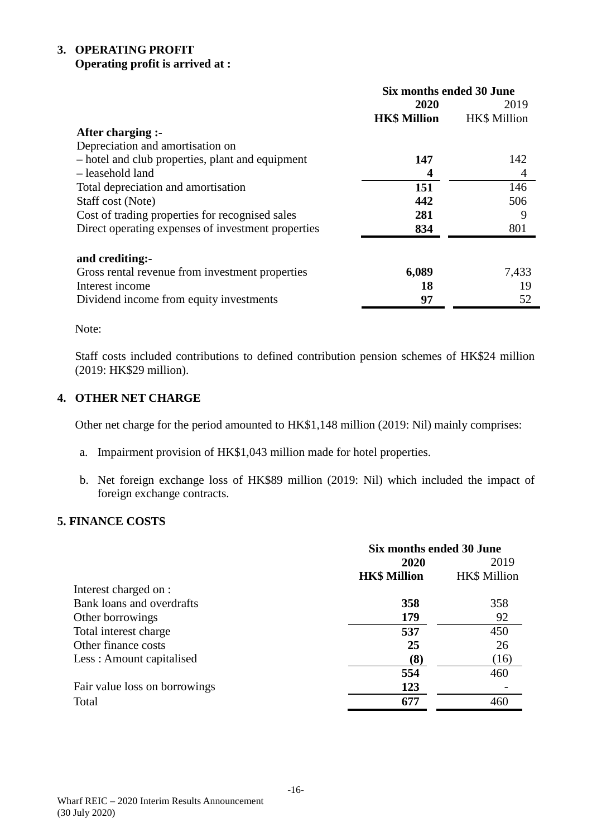# **3. OPERATING PROFIT**

# **Operating profit is arrived at :**

|                                                    | Six months ended 30 June |                     |  |
|----------------------------------------------------|--------------------------|---------------------|--|
|                                                    | 2020                     | 2019                |  |
|                                                    | <b>HK\$ Million</b>      | <b>HK\$</b> Million |  |
| After charging :-                                  |                          |                     |  |
| Depreciation and amortisation on                   |                          |                     |  |
| - hotel and club properties, plant and equipment   | 147                      | 142                 |  |
| - leasehold land                                   | 4                        | 4                   |  |
| Total depreciation and amortisation                | 151                      | 146                 |  |
| Staff cost (Note)                                  | 442                      | 506                 |  |
| Cost of trading properties for recognised sales    | 281                      | 9                   |  |
| Direct operating expenses of investment properties | 834                      | 801                 |  |
| and crediting:-                                    |                          |                     |  |
| Gross rental revenue from investment properties    | 6,089                    | 7,433               |  |
| Interest income                                    | 18                       | 19                  |  |
| Dividend income from equity investments            | 97                       | 52                  |  |

Note:

Staff costs included contributions to defined contribution pension schemes of HK\$24 million (2019: HK\$29 million).

# **4. OTHER NET CHARGE**

Other net charge for the period amounted to HK\$1,148 million (2019: Nil) mainly comprises:

- a. Impairment provision of HK\$1,043 million made for hotel properties.
- b. Net foreign exchange loss of HK\$89 million (2019: Nil) which included the impact of foreign exchange contracts.

## **5. FINANCE COSTS**

|                               | Six months ended 30 June |                     |
|-------------------------------|--------------------------|---------------------|
|                               | 2020                     | 2019                |
|                               | <b>HK\$ Million</b>      | <b>HK\$</b> Million |
| Interest charged on :         |                          |                     |
| Bank loans and overdrafts     | 358                      | 358                 |
| Other borrowings              | 179                      | 92                  |
| Total interest charge         | 537                      | 450                 |
| Other finance costs           | 25                       | 26                  |
| Less: Amount capitalised      | (8)                      | (16)                |
|                               | 554                      | 460                 |
| Fair value loss on borrowings | 123                      |                     |
| Total                         | 677                      | 460                 |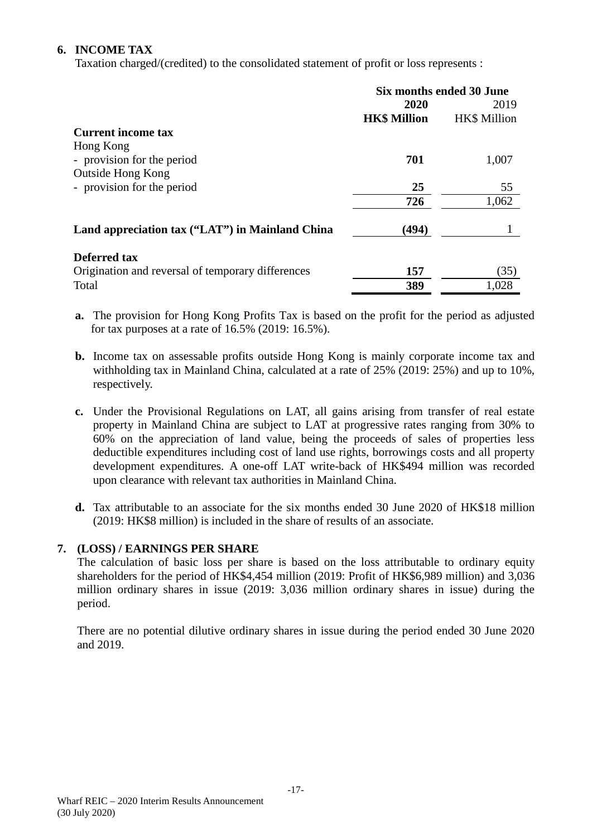## **6. INCOME TAX**

Taxation charged/(credited) to the consolidated statement of profit or loss represents :

|                                                   | Six months ended 30 June |              |
|---------------------------------------------------|--------------------------|--------------|
|                                                   | 2020                     | 2019         |
|                                                   | <b>HK\$ Million</b>      | HK\$ Million |
| <b>Current income tax</b>                         |                          |              |
| Hong Kong                                         |                          |              |
| - provision for the period                        | 701                      | 1,007        |
| <b>Outside Hong Kong</b>                          |                          |              |
| - provision for the period                        | 25                       | 55           |
|                                                   | 726                      | 1,062        |
| Land appreciation tax ("LAT") in Mainland China   | (494)                    |              |
| <b>Deferred tax</b>                               |                          |              |
| Origination and reversal of temporary differences | 157                      | (35)         |
| Total                                             | 389                      | 1,028        |

- **a.** The provision for Hong Kong Profits Tax is based on the profit for the period as adjusted for tax purposes at a rate of 16.5% (2019: 16.5%).
- **b.** Income tax on assessable profits outside Hong Kong is mainly corporate income tax and withholding tax in Mainland China, calculated at a rate of 25% (2019: 25%) and up to 10%, respectively.
- **c.** Under the Provisional Regulations on LAT, all gains arising from transfer of real estate property in Mainland China are subject to LAT at progressive rates ranging from 30% to 60% on the appreciation of land value, being the proceeds of sales of properties less deductible expenditures including cost of land use rights, borrowings costs and all property development expenditures. A one-off LAT write-back of HK\$494 million was recorded upon clearance with relevant tax authorities in Mainland China.
- **d.** Tax attributable to an associate for the six months ended 30 June 2020 of HK\$18 million (2019: HK\$8 million) is included in the share of results of an associate.

## **7. (LOSS) / EARNINGS PER SHARE**

The calculation of basic loss per share is based on the loss attributable to ordinary equity shareholders for the period of HK\$4,454 million (2019: Profit of HK\$6,989 million) and 3,036 million ordinary shares in issue (2019: 3,036 million ordinary shares in issue) during the period.

There are no potential dilutive ordinary shares in issue during the period ended 30 June 2020 and 2019.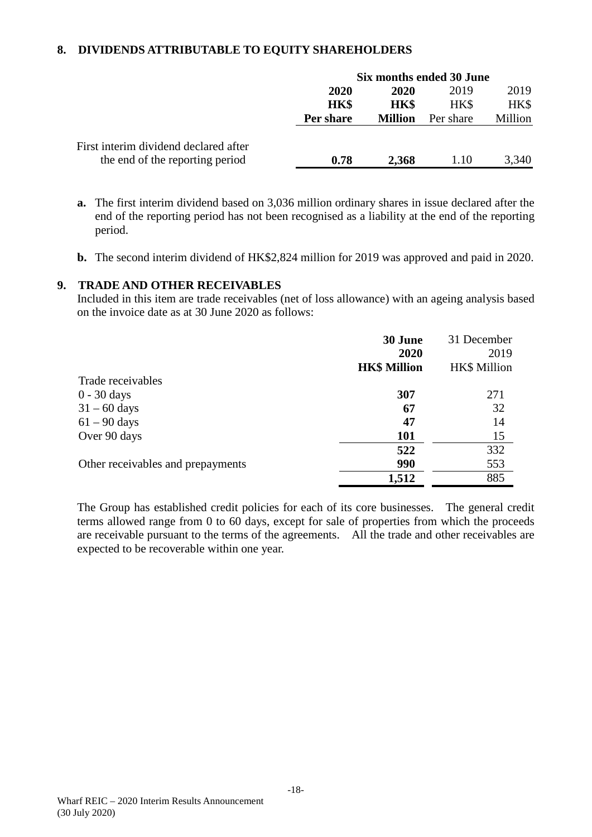### **8. DIVIDENDS ATTRIBUTABLE TO EQUITY SHAREHOLDERS**

|                                       |           |                | Six months ended 30 June |         |
|---------------------------------------|-----------|----------------|--------------------------|---------|
|                                       | 2020      | 2020           | 2019                     | 2019    |
|                                       | HK\$      | <b>HK\$</b>    | HK\$                     | HK\$    |
|                                       | Per share | <b>Million</b> | Per share                | Million |
| First interim dividend declared after |           |                |                          |         |
| the end of the reporting period       | 0.78      | 2,368          | 1.10                     | 3,340   |

- **a.** The first interim dividend based on 3,036 million ordinary shares in issue declared after the end of the reporting period has not been recognised as a liability at the end of the reporting period.
- **b.** The second interim dividend of HK\$2,824 million for 2019 was approved and paid in 2020.

### **9. TRADE AND OTHER RECEIVABLES**

Included in this item are trade receivables (net of loss allowance) with an ageing analysis based on the invoice date as at 30 June 2020 as follows:

|                                   | 30 June             | 31 December         |
|-----------------------------------|---------------------|---------------------|
|                                   | 2020                | 2019                |
|                                   | <b>HK\$ Million</b> | <b>HK\$</b> Million |
| Trade receivables                 |                     |                     |
| $0 - 30$ days                     | 307                 | 271                 |
| $31 - 60$ days                    | 67                  | 32                  |
| $61 - 90$ days                    | 47                  | 14                  |
| Over 90 days                      | <b>101</b>          | 15                  |
|                                   | 522                 | 332                 |
| Other receivables and prepayments | 990                 | 553                 |
|                                   | 1,512               | 885                 |

The Group has established credit policies for each of its core businesses. The general credit terms allowed range from 0 to 60 days, except for sale of properties from which the proceeds are receivable pursuant to the terms of the agreements. All the trade and other receivables are expected to be recoverable within one year.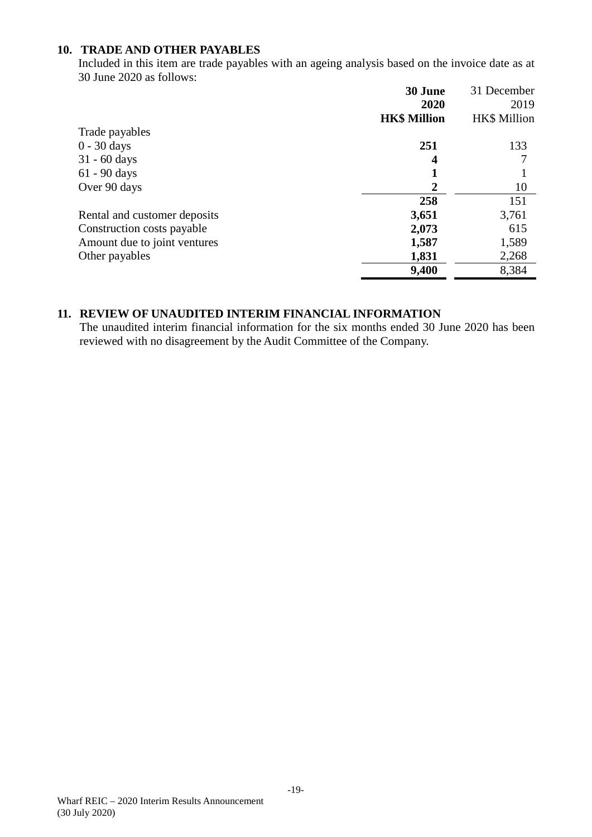## **10. TRADE AND OTHER PAYABLES**

Included in this item are trade payables with an ageing analysis based on the invoice date as at 30 June 2020 as follows:

|                              | 30 June             | 31 December  |
|------------------------------|---------------------|--------------|
|                              | 2020                | 2019         |
|                              | <b>HK\$ Million</b> | HK\$ Million |
| Trade payables               |                     |              |
| $0 - 30$ days                | 251                 | 133          |
| $31 - 60$ days               | 4                   |              |
| $61 - 90$ days               |                     |              |
| Over 90 days                 | 2                   | 10           |
|                              | 258                 | 151          |
| Rental and customer deposits | 3,651               | 3,761        |
| Construction costs payable   | 2,073               | 615          |
| Amount due to joint ventures | 1,587               | 1,589        |
| Other payables               | 1,831               | 2,268        |
|                              | 9,400               | 8,384        |

## **11. REVIEW OF UNAUDITED INTERIM FINANCIAL INFORMATION**

The unaudited interim financial information for the six months ended 30 June 2020 has been reviewed with no disagreement by the Audit Committee of the Company.